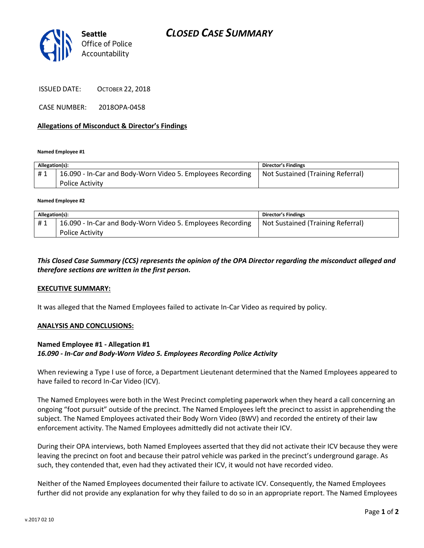



ISSUED DATE: OCTOBER 22, 2018

CASE NUMBER: 2018OPA-0458

#### **Allegations of Misconduct & Director's Findings**

**Named Employee #1**

| Allegation(s): |                                                                               | Director's Findings               |
|----------------|-------------------------------------------------------------------------------|-----------------------------------|
| #1             | 16.090 - In-Car and Body-Worn Video 5. Employees Recording<br>Police Activity | Not Sustained (Training Referral) |

**Named Employee #2**

| Allegation(s): |                                                            | <b>Director's Findings</b>        |
|----------------|------------------------------------------------------------|-----------------------------------|
| #1             | 16.090 - In-Car and Body-Worn Video 5. Employees Recording | Not Sustained (Training Referral) |
|                | <b>Police Activity</b>                                     |                                   |

## *This Closed Case Summary (CCS) represents the opinion of the OPA Director regarding the misconduct alleged and therefore sections are written in the first person.*

#### **EXECUTIVE SUMMARY:**

It was alleged that the Named Employees failed to activate In-Car Video as required by policy.

#### **ANALYSIS AND CONCLUSIONS:**

### **Named Employee #1 - Allegation #1** *16.090 - In-Car and Body-Worn Video 5. Employees Recording Police Activity*

When reviewing a Type I use of force, a Department Lieutenant determined that the Named Employees appeared to have failed to record In-Car Video (ICV).

The Named Employees were both in the West Precinct completing paperwork when they heard a call concerning an ongoing "foot pursuit" outside of the precinct. The Named Employees left the precinct to assist in apprehending the subject. The Named Employees activated their Body Worn Video (BWV) and recorded the entirety of their law enforcement activity. The Named Employees admittedly did not activate their ICV.

During their OPA interviews, both Named Employees asserted that they did not activate their ICV because they were leaving the precinct on foot and because their patrol vehicle was parked in the precinct's underground garage. As such, they contended that, even had they activated their ICV, it would not have recorded video.

Neither of the Named Employees documented their failure to activate ICV. Consequently, the Named Employees further did not provide any explanation for why they failed to do so in an appropriate report. The Named Employees